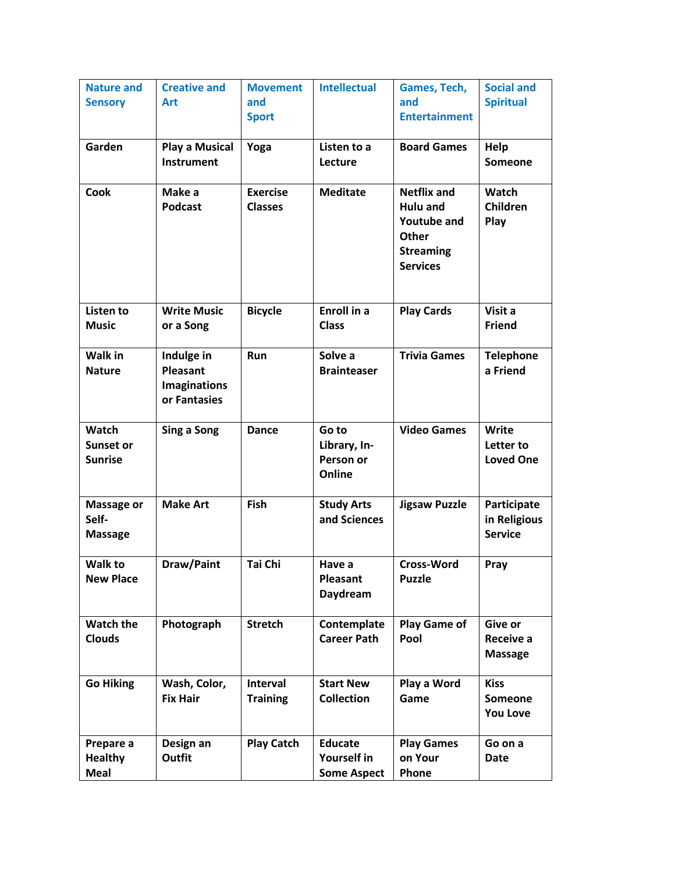| <b>Nature and</b>             | <b>Creative and</b>        | <b>Movement</b>   | <b>Intellectual</b>           | Games, Tech,                 | <b>Social and</b>      |
|-------------------------------|----------------------------|-------------------|-------------------------------|------------------------------|------------------------|
| <b>Sensory</b>                | <b>Art</b>                 | and               |                               | and                          | <b>Spiritual</b>       |
|                               |                            | <b>Sport</b>      |                               | <b>Entertainment</b>         |                        |
|                               |                            |                   |                               |                              |                        |
| Garden                        | <b>Play a Musical</b>      | Yoga              | Listen to a                   | <b>Board Games</b>           | Help                   |
|                               | <b>Instrument</b>          |                   | Lecture                       |                              | <b>Someone</b>         |
|                               |                            |                   |                               |                              |                        |
| <b>Cook</b>                   | Make a                     | <b>Exercise</b>   | <b>Meditate</b>               | <b>Netflix and</b>           | <b>Watch</b>           |
|                               | <b>Podcast</b>             | <b>Classes</b>    |                               | <b>Hulu and</b>              | Children               |
|                               |                            |                   |                               | <b>Youtube and</b>           | Play                   |
|                               |                            |                   |                               | Other                        |                        |
|                               |                            |                   |                               | <b>Streaming</b>             |                        |
|                               |                            |                   |                               | <b>Services</b>              |                        |
|                               |                            |                   |                               |                              |                        |
|                               |                            |                   |                               |                              |                        |
| Listen to                     | <b>Write Music</b>         | <b>Bicycle</b>    | <b>Enroll in a</b>            | <b>Play Cards</b>            | Visit a                |
| <b>Music</b>                  | or a Song                  |                   | <b>Class</b>                  |                              | <b>Friend</b>          |
|                               |                            |                   |                               |                              |                        |
| <b>Walk in</b>                | Indulge in                 | Run               | Solve a                       | <b>Trivia Games</b>          | <b>Telephone</b>       |
| <b>Nature</b>                 | Pleasant                   |                   | <b>Brainteaser</b>            |                              | a Friend               |
|                               | <b>Imaginations</b>        |                   |                               |                              |                        |
|                               | or Fantasies               |                   |                               |                              |                        |
| Watch                         | Sing a Song                | <b>Dance</b>      | Go to                         | <b>Video Games</b>           | Write                  |
| <b>Sunset or</b>              |                            |                   | Library, In-                  |                              | Letter to              |
| <b>Sunrise</b>                |                            |                   | Person or                     |                              | <b>Loved One</b>       |
|                               |                            |                   | Online                        |                              |                        |
|                               |                            |                   |                               |                              |                        |
| <b>Massage or</b>             | <b>Make Art</b>            | Fish              | <b>Study Arts</b>             | <b>Jigsaw Puzzle</b>         | Participate            |
| Self-                         |                            |                   | and Sciences                  |                              | in Religious           |
| <b>Massage</b>                |                            |                   |                               |                              | <b>Service</b>         |
|                               |                            |                   |                               |                              |                        |
| <b>Walk to</b>                | Draw/Paint                 | Tai Chi           | Have a                        | <b>Cross-Word</b>            | Pray                   |
| <b>New Place</b>              |                            |                   | Pleasant                      | <b>Puzzle</b>                |                        |
|                               |                            |                   | Daydream                      |                              |                        |
|                               |                            |                   |                               |                              |                        |
| <b>Watch the</b>              | Photograph                 | <b>Stretch</b>    | Contemplate                   | <b>Play Game of</b>          | Give or                |
| <b>Clouds</b>                 |                            |                   | <b>Career Path</b>            | Pool                         | Receive a              |
|                               |                            |                   |                               |                              | <b>Massage</b>         |
|                               |                            |                   |                               |                              |                        |
| <b>Go Hiking</b>              | Wash, Color,               | <b>Interval</b>   | <b>Start New</b>              | Play a Word                  | <b>Kiss</b>            |
|                               | <b>Fix Hair</b>            | <b>Training</b>   | <b>Collection</b>             | Game                         | <b>Someone</b>         |
|                               |                            |                   |                               |                              | <b>You Love</b>        |
|                               |                            |                   |                               |                              |                        |
| Prepare a                     | Design an<br><b>Outfit</b> | <b>Play Catch</b> | <b>Educate</b><br>Yourself in | <b>Play Games</b><br>on Your | Go on a<br><b>Date</b> |
| <b>Healthy</b><br><b>Meal</b> |                            |                   | <b>Some Aspect</b>            | Phone                        |                        |
|                               |                            |                   |                               |                              |                        |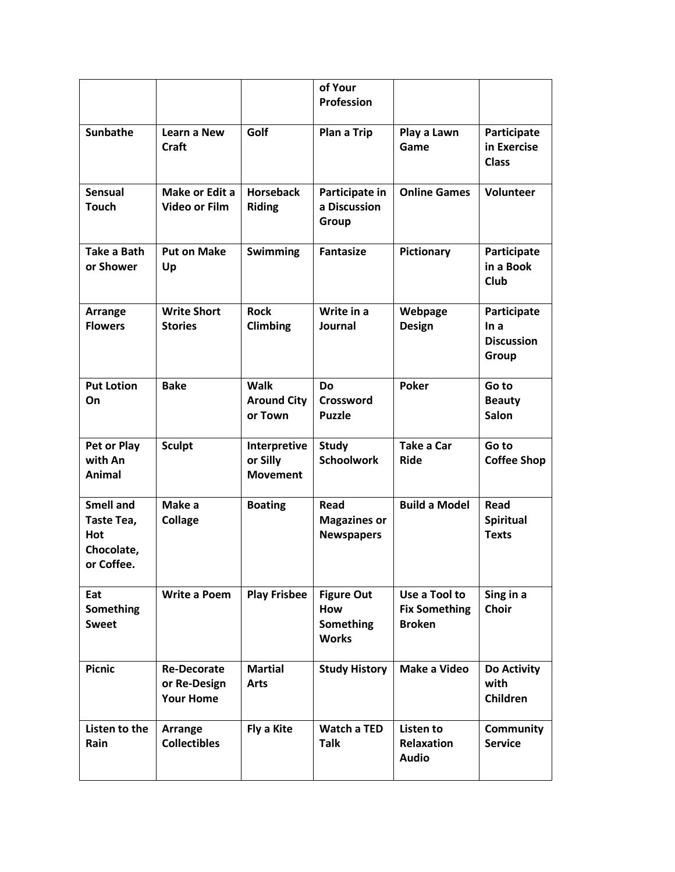|                                                                   |                                                        |                                              | of Your<br>Profession                                 |                                                        |                                                   |
|-------------------------------------------------------------------|--------------------------------------------------------|----------------------------------------------|-------------------------------------------------------|--------------------------------------------------------|---------------------------------------------------|
| <b>Sunbathe</b>                                                   | Learn a New<br><b>Craft</b>                            | Golf                                         | Plan a Trip                                           | Play a Lawn<br>Game                                    | Participate<br>in Exercise<br><b>Class</b>        |
| <b>Sensual</b><br><b>Touch</b>                                    | Make or Edit a<br><b>Video or Film</b>                 | <b>Horseback</b><br><b>Riding</b>            | Participate in<br>a Discussion<br>Group               | <b>Online Games</b>                                    | Volunteer                                         |
| <b>Take a Bath</b><br>or Shower                                   | <b>Put on Make</b><br>Up                               | <b>Swimming</b>                              | <b>Fantasize</b>                                      | <b>Pictionary</b>                                      | Participate<br>in a Book<br>Club                  |
| Arrange<br><b>Flowers</b>                                         | <b>Write Short</b><br><b>Stories</b>                   | <b>Rock</b><br><b>Climbing</b>               | Write in a<br>Journal                                 | Webpage<br><b>Design</b>                               | Participate<br>In a<br><b>Discussion</b><br>Group |
| <b>Put Lotion</b><br>On                                           | <b>Bake</b>                                            | <b>Walk</b><br><b>Around City</b><br>or Town | Do<br><b>Crossword</b><br><b>Puzzle</b>               | <b>Poker</b>                                           | Go to<br><b>Beauty</b><br><b>Salon</b>            |
| Pet or Play<br>with An<br>Animal                                  | <b>Sculpt</b>                                          | Interpretive<br>or Silly<br><b>Movement</b>  | <b>Study</b><br><b>Schoolwork</b>                     | <b>Take a Car</b><br><b>Ride</b>                       | Go to<br><b>Coffee Shop</b>                       |
| <b>Smell and</b><br>Taste Tea,<br>Hot<br>Chocolate,<br>or Coffee. | Make a<br><b>Collage</b>                               | <b>Boating</b>                               | Read<br><b>Magazines or</b><br><b>Newspapers</b>      | <b>Build a Model</b>                                   | <b>Read</b><br>Spiritual<br><b>Texts</b>          |
| Eat<br><b>Something</b><br><b>Sweet</b>                           | <b>Write a Poem</b>                                    | <b>Play Frisbee</b>                          | <b>Figure Out</b><br>How<br>Something<br><b>Works</b> | Use a Tool to<br><b>Fix Something</b><br><b>Broken</b> | Sing in a<br>Choir                                |
| <b>Picnic</b>                                                     | <b>Re-Decorate</b><br>or Re-Design<br><b>Your Home</b> | <b>Martial</b><br><b>Arts</b>                | <b>Study History</b>                                  | Make a Video                                           | Do Activity<br>with<br>Children                   |
| Listen to the<br>Rain                                             | Arrange<br><b>Collectibles</b>                         | Fly a Kite                                   | <b>Watch a TED</b><br><b>Talk</b>                     | Listen to<br><b>Relaxation</b><br><b>Audio</b>         | <b>Community</b><br><b>Service</b>                |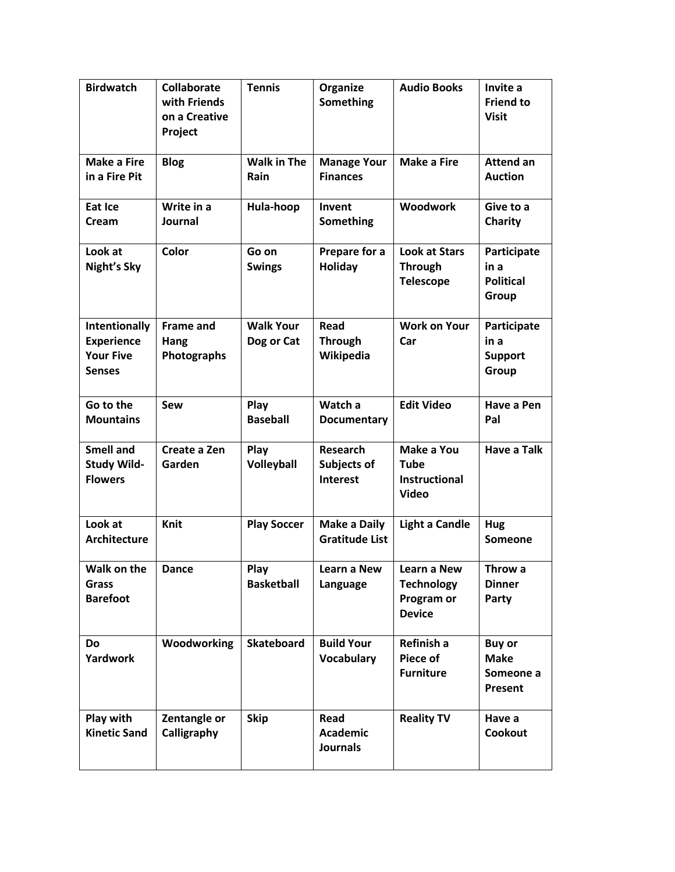| <b>Birdwatch</b>                                                        | <b>Collaborate</b><br>with Friends<br>on a Creative<br>Project | <b>Tennis</b>                  | Organize<br>Something                             | <b>Audio Books</b>                                                | Invite a<br><b>Friend to</b><br><b>Visit</b>         |
|-------------------------------------------------------------------------|----------------------------------------------------------------|--------------------------------|---------------------------------------------------|-------------------------------------------------------------------|------------------------------------------------------|
| <b>Make a Fire</b><br>in a Fire Pit                                     | <b>Blog</b>                                                    | <b>Walk in The</b><br>Rain     | <b>Manage Your</b><br><b>Finances</b>             | <b>Make a Fire</b>                                                | <b>Attend an</b><br><b>Auction</b>                   |
| Eat Ice<br>Cream                                                        | Write in a<br>Journal                                          | Hula-hoop                      | Invent<br>Something                               | <b>Woodwork</b>                                                   | Give to a<br>Charity                                 |
| Look at<br>Night's Sky                                                  | <b>Color</b>                                                   | Go on<br><b>Swings</b>         | Prepare for a<br><b>Holiday</b>                   | <b>Look at Stars</b><br><b>Through</b><br><b>Telescope</b>        | Participate<br>in a<br><b>Political</b><br>Group     |
| Intentionally<br><b>Experience</b><br><b>Your Five</b><br><b>Senses</b> | <b>Frame and</b><br>Hang<br>Photographs                        | <b>Walk Your</b><br>Dog or Cat | Read<br><b>Through</b><br>Wikipedia               | <b>Work on Your</b><br>Car                                        | Participate<br>in a<br><b>Support</b><br>Group       |
| Go to the<br><b>Mountains</b>                                           | Sew                                                            | Play<br><b>Baseball</b>        | Watch a<br><b>Documentary</b>                     | <b>Edit Video</b>                                                 | Have a Pen<br>Pal                                    |
| <b>Smell and</b><br><b>Study Wild-</b><br><b>Flowers</b>                | Create a Zen<br>Garden                                         | Play<br>Volleyball             | <b>Research</b><br>Subjects of<br><b>Interest</b> | Make a You<br><b>Tube</b><br><b>Instructional</b><br><b>Video</b> | <b>Have a Talk</b>                                   |
| Look at<br><b>Architecture</b>                                          | Knit                                                           | <b>Play Soccer</b>             | <b>Make a Daily</b><br><b>Gratitude List</b>      | <b>Light a Candle</b>                                             | Hug<br><b>Someone</b>                                |
| Walk on the<br><b>Grass</b><br><b>Barefoot</b>                          | <b>Dance</b>                                                   | Play<br><b>Basketball</b>      | Learn a New<br>Language                           | Learn a New<br><b>Technology</b><br>Program or<br><b>Device</b>   | Throw a<br><b>Dinner</b><br>Party                    |
| <b>Do</b><br>Yardwork                                                   | Woodworking                                                    | <b>Skateboard</b>              | <b>Build Your</b><br><b>Vocabulary</b>            | Refinish a<br>Piece of<br><b>Furniture</b>                        | <b>Buy or</b><br><b>Make</b><br>Someone a<br>Present |
| Play with<br><b>Kinetic Sand</b>                                        | Zentangle or<br>Calligraphy                                    | <b>Skip</b>                    | Read<br><b>Academic</b><br><b>Journals</b>        | <b>Reality TV</b>                                                 | Have a<br>Cookout                                    |